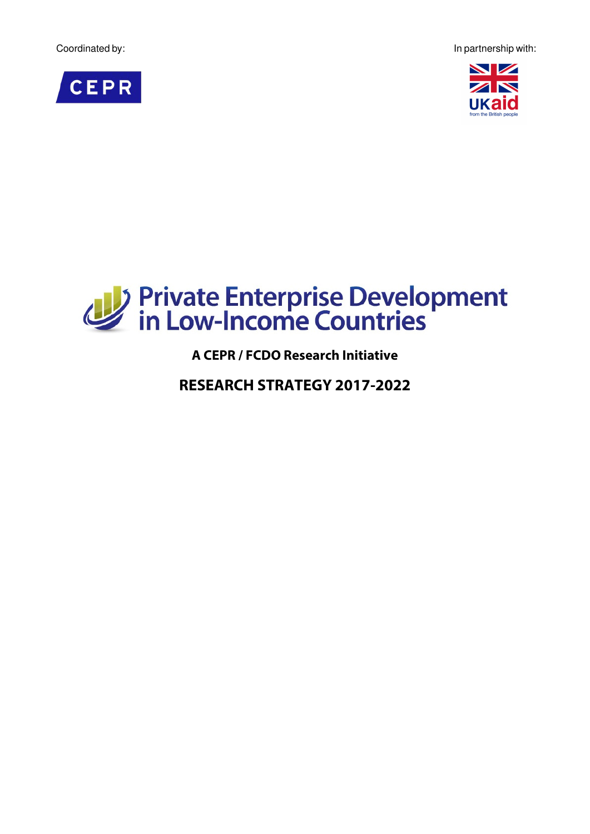Coordinated by: In partnership with:







**A CEPR / FCDO Research Initiative**

**RESEARCH STRATEGY 2017-2022**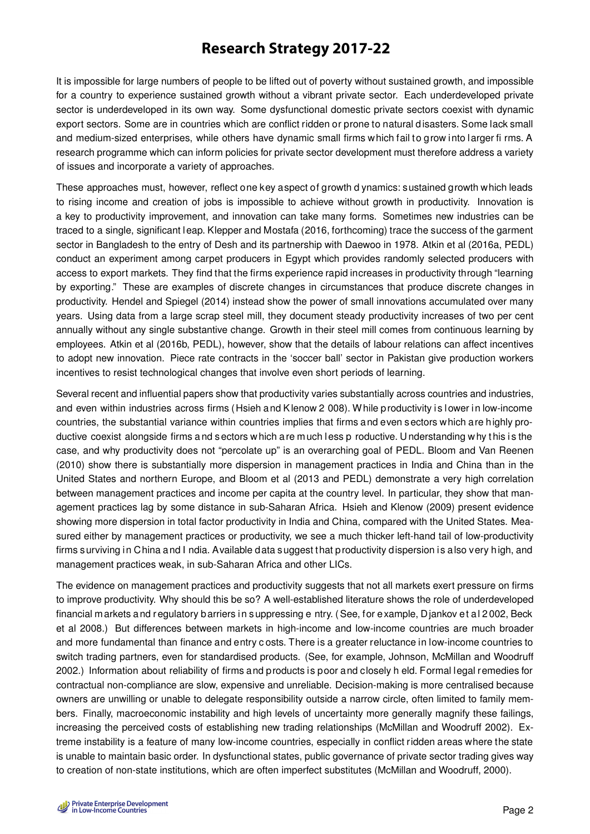# **Research Strategy 2017-22**

It is impossible for large numbers of people to be lifted out of poverty without sustained growth, and impossible for a country to experience sustained growth without a vibrant private sector. Each underdeveloped private sector is underdeveloped in its own way. Some dysfunctional domestic private sectors coexist with dynamic export sectors. Some are in countries which are conflict ridden or prone to natural d isasters. Some lack small and medium-sized enterprises, while others have dynamic small firms w hich fail to grow into larger firms. A research programme which can inform policies for private sector development must therefore address a variety of issues and incorporate a variety of approaches.

These approaches must, however, reflect one key aspect of growth d ynamics: sustained growth which leads to rising income and creation of jobs is impossible to achieve without growth in productivity. Innovation is a key to productivity improvement, and innovation can take many forms. Sometimes new industries can be traced to a single, significant l eap. Klepper and Mostafa (2016, forthcoming) trace the success of the garment sector in Bangladesh to the entry of Desh and its partnership with Daewoo in 1978. Atkin et al (2016a, PEDL) conduct an experiment among carpet producers in Egypt which provides randomly selected producers with access to export markets. They find that the firms experience rapid increases in productivity through "learning by exporting." These are examples of discrete changes in circumstances that produce discrete changes in productivity. Hendel and Spiegel (2014) instead show the power of small innovations accumulated over many years. Using data from a large scrap steel mill, they document steady productivity increases of two per cent annually without any single substantive change. Growth in their steel mill comes from continuous learning by employees. Atkin et al (2016b, PEDL), however, show that the details of labour relations can affect incentives to adopt new innovation. Piece rate contracts in the 'soccer ball' sector in Pakistan give production workers incentives to resist technological changes that involve even short periods of learning.

Several recent and influential papers show that productivity varies substantially across countries and industries, and even within industries across firms (Hsieh and Klenow 2 008). While productivity is lower in low-income countries, the substantial variance within countries implies that firms a nd even s ectors w hich a re h ighly productive coexist alongside firms and sectors w hich a re m uch less p roductive. Understanding w hy t his is the case, and why productivity does not "percolate up" is an overarching goal of PEDL. Bloom and Van Reenen (2010) show there is substantially more dispersion in management practices in India and China than in the United States and northern Europe, and Bloom et al (2013 and PEDL) demonstrate a very high correlation between management practices and income per capita at the country level. In particular, they show that management practices lag by some distance in sub-Saharan Africa. Hsieh and Klenow (2009) present evidence showing more dispersion in total factor productivity in India and China, compared with the United States. Measured either by management practices or productivity, we see a much thicker left-hand tail of low-productivity firms surviving in China and I ndia. Available data suggest that productivity dispersion is also very high, and management practices weak, in sub-Saharan Africa and other LICs.

The evidence on management practices and productivity suggests that not all markets exert pressure on firms to improve productivity. Why should this be so? A well-established literature shows the role of underdeveloped financial m arkets a nd r egulatory b arriers i n s uppressing e ntry. ( See, for e xample, D jankov et a l 2 002, Beck et al 2008.) But differences between markets in high-income and low-income countries are much broader and more fundamental than finance and entry c osts. There is a greater reluctance in low-income countries to switch trading partners, even for standardised products. (See, for example, Johnson, McMillan and Woodruff 2002.) Information about reliability of firms and p roducts is poor and closely h eld. Formal legal remedies for contractual non-compliance are slow, expensive and unreliable. Decision-making is more centralised because owners are unwilling or unable to delegate responsibility outside a narrow circle, often limited to family members. Finally, macroeconomic instability and high levels of uncertainty more generally magnify these failings, increasing the perceived costs of establishing new trading relationships (McMillan and Woodruff 2002). Extreme instability is a feature of many low-income countries, especially in conflict ridden areas where the state is unable to maintain basic order. In dysfunctional states, public governance of private sector trading gives way to creation of non-state institutions, which are often imperfect substitutes (McMillan and Woodruff, 2000).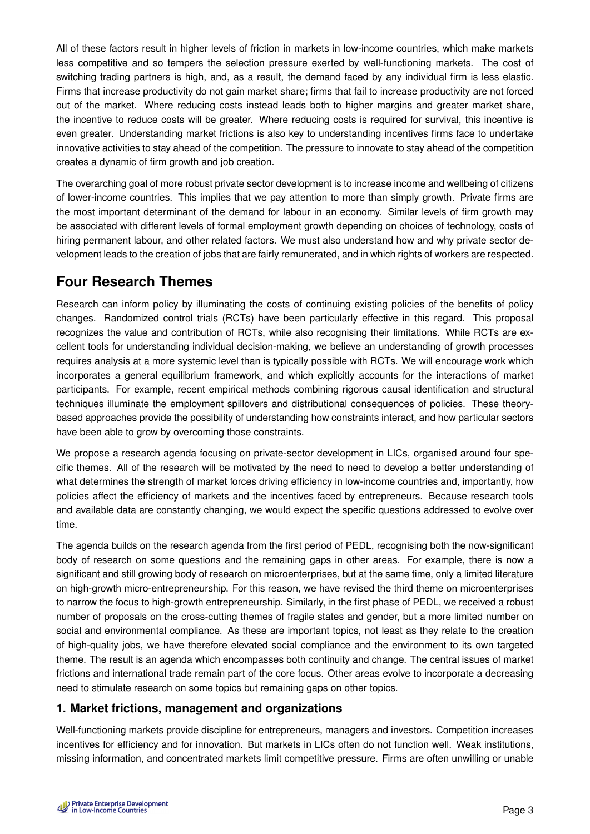All of these factors result in higher levels of friction in markets in low-income countries, which make markets less competitive and so tempers the selection pressure exerted by well-functioning markets. The cost of switching trading partners is high, and, as a result, the demand faced by any individual firm is less elastic. Firms that increase productivity do not gain market share; firms that fail to increase productivity are not forced out of the market. Where reducing costs instead leads both to higher margins and greater market share, the incentive to reduce costs will be greater. Where reducing costs is required for survival, this incentive is even greater. Understanding market frictions is also key to understanding incentives firms face to undertake innovative activities to stay ahead of the competition. The pressure to innovate to stay ahead of the competition creates a dynamic of firm growth and job creation.

The overarching goal of more robust private sector development is to increase income and wellbeing of citizens of lower-income countries. This implies that we pay attention to more than simply growth. Private firms are the most important determinant of the demand for labour in an economy. Similar levels of firm growth may be associated with different levels of formal employment growth depending on choices of technology, costs of hiring permanent labour, and other related factors. We must also understand how and why private sector development leads to the creation of jobs that are fairly remunerated, and in which rights of workers are respected.

# **Four Research Themes**

Research can inform policy by illuminating the costs of continuing existing policies of the benefits of policy changes. Randomized control trials (RCTs) have been particularly effective in this regard. This proposal recognizes the value and contribution of RCTs, while also recognising their limitations. While RCTs are excellent tools for understanding individual decision-making, we believe an understanding of growth processes requires analysis at a more systemic level than is typically possible with RCTs. We will encourage work which incorporates a general equilibrium framework, and which explicitly accounts for the interactions of market participants. For example, recent empirical methods combining rigorous causal identification and structural techniques illuminate the employment spillovers and distributional consequences of policies. These theorybased approaches provide the possibility of understanding how constraints interact, and how particular sectors have been able to grow by overcoming those constraints.

We propose a research agenda focusing on private-sector development in LICs, organised around four specific themes. All of the research will be motivated by the need to need to develop a better understanding of what determines the strength of market forces driving efficiency in low-income countries and, importantly, how policies affect the efficiency of markets and the incentives faced by entrepreneurs. Because research tools and available data are constantly changing, we would expect the specific questions addressed to evolve over time.

The agenda builds on the research agenda from the first period of PEDL, recognising both the now-significant body of research on some questions and the remaining gaps in other areas. For example, there is now a significant and still growing body of research on microenterprises, but at the same time, only a limited literature on high-growth micro-entrepreneurship. For this reason, we have revised the third theme on microenterprises to narrow the focus to high-growth entrepreneurship. Similarly, in the first phase of PEDL, we received a robust number of proposals on the cross-cutting themes of fragile states and gender, but a more limited number on social and environmental compliance. As these are important topics, not least as they relate to the creation of high-quality jobs, we have therefore elevated social compliance and the environment to its own targeted theme. The result is an agenda which encompasses both continuity and change. The central issues of market frictions and international trade remain part of the core focus. Other areas evolve to incorporate a decreasing need to stimulate research on some topics but remaining gaps on other topics.

## **1. Market frictions, management and organizations**

Well-functioning markets provide discipline for entrepreneurs, managers and investors. Competition increases incentives for efficiency and for innovation. But markets in LICs often do not function well. Weak institutions, missing information, and concentrated markets limit competitive pressure. Firms are often unwilling or unable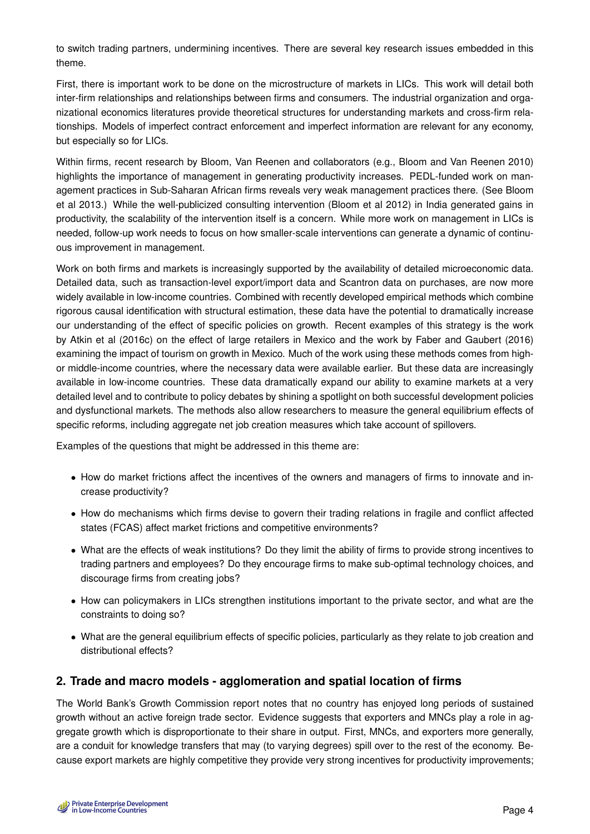to switch trading partners, undermining incentives. There are several key research issues embedded in this theme.

First, there is important work to be done on the microstructure of markets in LICs. This work will detail both inter-firm relationships and relationships between firms and consumers. The industrial organization and organizational economics literatures provide theoretical structures for understanding markets and cross-firm relationships. Models of imperfect contract enforcement and imperfect information are relevant for any economy, but especially so for LICs.

Within firms, recent research by Bloom, Van Reenen and collaborators (e.g., Bloom and Van Reenen 2010) highlights the importance of management in generating productivity increases. PEDL-funded work on management practices in Sub-Saharan African firms reveals very weak management practices there. (See Bloom et al 2013.) While the well-publicized consulting intervention (Bloom et al 2012) in India generated gains in productivity, the scalability of the intervention itself is a concern. While more work on management in LICs is needed, follow-up work needs to focus on how smaller-scale interventions can generate a dynamic of continuous improvement in management.

Work on both firms and markets is increasingly supported by the availability of detailed microeconomic data. Detailed data, such as transaction-level export/import data and Scantron data on purchases, are now more widely available in low-income countries. Combined with recently developed empirical methods which combine rigorous causal identification with structural estimation, these data have the potential to dramatically increase our understanding of the effect of specific policies on growth. Recent examples of this strategy is the work by Atkin et al (2016c) on the effect of large retailers in Mexico and the work by Faber and Gaubert (2016) examining the impact of tourism on growth in Mexico. Much of the work using these methods comes from highor middle-income countries, where the necessary data were available earlier. But these data are increasingly available in low-income countries. These data dramatically expand our ability to examine markets at a very detailed level and to contribute to policy debates by shining a spotlight on both successful development policies and dysfunctional markets. The methods also allow researchers to measure the general equilibrium effects of specific reforms, including aggregate net job creation measures which take account of spillovers.

Examples of the questions that might be addressed in this theme are:

- How do market frictions affect the incentives of the owners and managers of firms to innovate and increase productivity?
- How do mechanisms which firms devise to govern their trading relations in fragile and conflict affected states (FCAS) affect market frictions and competitive environments?
- What are the effects of weak institutions? Do they limit the ability of firms to provide strong incentives to trading partners and employees? Do they encourage firms to make sub-optimal technology choices, and discourage firms from creating jobs?
- How can policymakers in LICs strengthen institutions important to the private sector, and what are the constraints to doing so?
- What are the general equilibrium effects of specific policies, particularly as they relate to job creation and distributional effects?

## **2. Trade and macro models - agglomeration and spatial location of firms**

The World Bank's Growth Commission report notes that no country has enjoyed long periods of sustained growth without an active foreign trade sector. Evidence suggests that exporters and MNCs play a role in aggregate growth which is disproportionate to their share in output. First, MNCs, and exporters more generally, are a conduit for knowledge transfers that may (to varying degrees) spill over to the rest of the economy. Because export markets are highly competitive they provide very strong incentives for productivity improvements;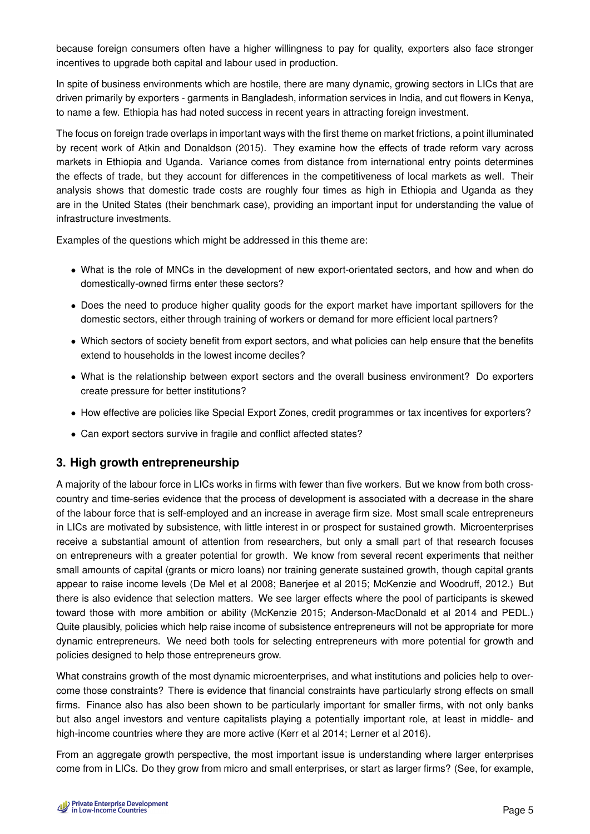because foreign consumers often have a higher willingness to pay for quality, exporters also face stronger incentives to upgrade both capital and labour used in production.

In spite of business environments which are hostile, there are many dynamic, growing sectors in LICs that are driven primarily by exporters - garments in Bangladesh, information services in India, and cut flowers in Kenya, to name a few. Ethiopia has had noted success in recent years in attracting foreign investment.

The focus on foreign trade overlaps in important ways with the first theme on market frictions, a point illuminated by recent work of Atkin and Donaldson (2015). They examine how the effects of trade reform vary across markets in Ethiopia and Uganda. Variance comes from distance from international entry points determines the effects of trade, but they account for differences in the competitiveness of local markets as well. Their analysis shows that domestic trade costs are roughly four times as high in Ethiopia and Uganda as they are in the United States (their benchmark case), providing an important input for understanding the value of infrastructure investments.

Examples of the questions which might be addressed in this theme are:

- What is the role of MNCs in the development of new export-orientated sectors, and how and when do domestically-owned firms enter these sectors?
- Does the need to produce higher quality goods for the export market have important spillovers for the domestic sectors, either through training of workers or demand for more efficient local partners?
- Which sectors of society benefit from export sectors, and what policies can help ensure that the benefits extend to households in the lowest income deciles?
- What is the relationship between export sectors and the overall business environment? Do exporters create pressure for better institutions?
- How effective are policies like Special Export Zones, credit programmes or tax incentives for exporters?
- Can export sectors survive in fragile and conflict affected states?

## **3. High growth entrepreneurship**

A majority of the labour force in LICs works in firms with fewer than five workers. But we know from both crosscountry and time-series evidence that the process of development is associated with a decrease in the share of the labour force that is self-employed and an increase in average firm size. Most small scale entrepreneurs in LICs are motivated by subsistence, with little interest in or prospect for sustained growth. Microenterprises receive a substantial amount of attention from researchers, but only a small part of that research focuses on entrepreneurs with a greater potential for growth. We know from several recent experiments that neither small amounts of capital (grants or micro loans) nor training generate sustained growth, though capital grants appear to raise income levels (De Mel et al 2008; Banerjee et al 2015; McKenzie and Woodruff, 2012.) But there is also evidence that selection matters. We see larger effects where the pool of participants is skewed toward those with more ambition or ability (McKenzie 2015; Anderson-MacDonald et al 2014 and PEDL.) Quite plausibly, policies which help raise income of subsistence entrepreneurs will not be appropriate for more dynamic entrepreneurs. We need both tools for selecting entrepreneurs with more potential for growth and policies designed to help those entrepreneurs grow.

What constrains growth of the most dynamic microenterprises, and what institutions and policies help to overcome those constraints? There is evidence that financial constraints have particularly strong effects on small firms. Finance also has also been shown to be particularly important for smaller firms, with not only banks but also angel investors and venture capitalists playing a potentially important role, at least in middle- and high-income countries where they are more active (Kerr et al 2014; Lerner et al 2016).

From an aggregate growth perspective, the most important issue is understanding where larger enterprises come from in LICs. Do they grow from micro and small enterprises, or start as larger firms? (See, for example,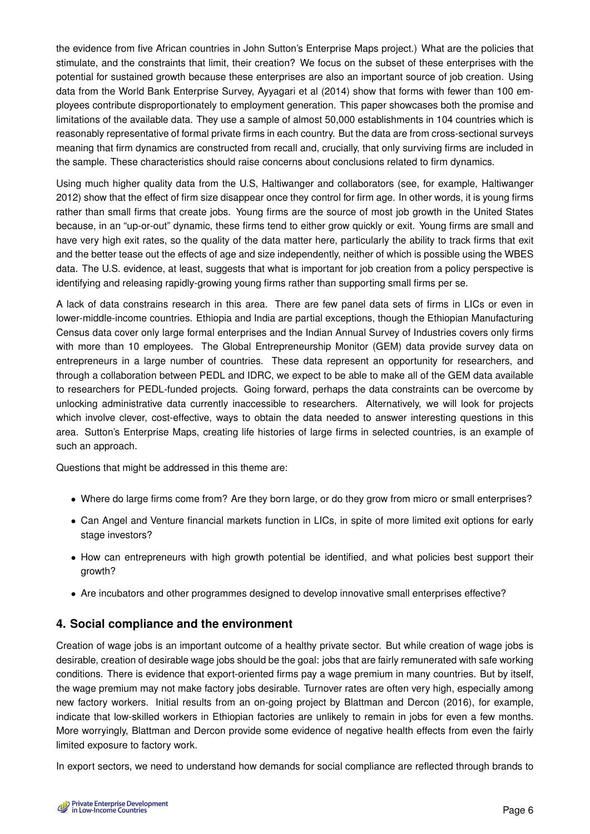the evidence from five African countries in John Sutton's Enterprise Maps project.) What are the policies that stimulate, and the constraints that limit, their creation? We focus on the subset of these enterprises with the potential for sustained growth because these enterprises are also an important source of job creation. Using data from the World Bank Enterprise Survey, Ayyagari et al (2014) show that forms with fewer than 100 employees contribute disproportionately to employment generation. This paper showcases both the promise and limitations of the available data. They use a sample of almost 50,000 establishments in 104 countries which is reasonably representative of formal private firms in each country. But the data are from cross-sectional surveys meaning that firm dynamics are constructed from recall and, crucially, that only surviving firms are included in the sample. These characteristics should raise concerns about conclusions related to firm dynamics.

Using much higher quality data from the U.S, Haltiwanger and collaborators (see, for example, Haltiwanger 2012) show that the effect of firm size disappear once they control for firm age. In other words, it is young firms rather than small firms that create jobs. Young firms are the source of most job growth in the United States because, in an "up-or-out" dynamic, these firms tend to either grow quickly or exit. Young firms are small and have very high exit rates, so the quality of the data matter here, particularly the ability to track firms that exit and the better tease out the effects of age and size independently, neither of which is possible using the WBES data. The U.S. evidence, at least, suggests that what is important for job creation from a policy perspective is identifying and releasing rapidly-growing young firms rather than supporting small firms per se.

A lack of data constrains research in this area. There are few panel data sets of firms in LICs or even in lower-middle-income countries. Ethiopia and India are partial exceptions, though the Ethiopian Manufacturing Census data cover only large formal enterprises and the Indian Annual Survey of Industries covers only firms with more than 10 employees. The Global Entrepreneurship Monitor (GEM) data provide survey data on entrepreneurs in a large number of countries. These data represent an opportunity for researchers, and through a collaboration between PEDL and IDRC, we expect to be able to make all of the GEM data available to researchers for PEDL-funded projects. Going forward, perhaps the data constraints can be overcome by unlocking administrative data currently inaccessible to researchers. Alternatively, we will look for projects which involve clever, cost-effective, ways to obtain the data needed to answer interesting questions in this area. Sutton's Enterprise Maps, creating life histories of large firms in selected countries, is an example of such an approach.

Questions that might be addressed in this theme are:

- Where do large firms come from? Are they born large, or do they grow from micro or small enterprises?
- Can Angel and Venture financial markets function in LICs, in spite of more limited exit options for early stage investors?
- How can entrepreneurs with high growth potential be identified, and what policies best support their growth?
- Are incubators and other programmes designed to develop innovative small enterprises effective?

## **4. Social compliance and the environment**

Creation of wage jobs is an important outcome of a healthy private sector. But while creation of wage jobs is desirable, creation of desirable wage jobs should be the goal: jobs that are fairly remunerated with safe working conditions. There is evidence that export-oriented firms pay a wage premium in many countries. But by itself, the wage premium may not make factory jobs desirable. Turnover rates are often very high, especially among new factory workers. Initial results from an on-going project by Blattman and Dercon (2016), for example, indicate that low-skilled workers in Ethiopian factories are unlikely to remain in jobs for even a few months. More worryingly, Blattman and Dercon provide some evidence of negative health effects from even the fairly limited exposure to factory work.

In export sectors, we need to understand how demands for social compliance are reflected through brands to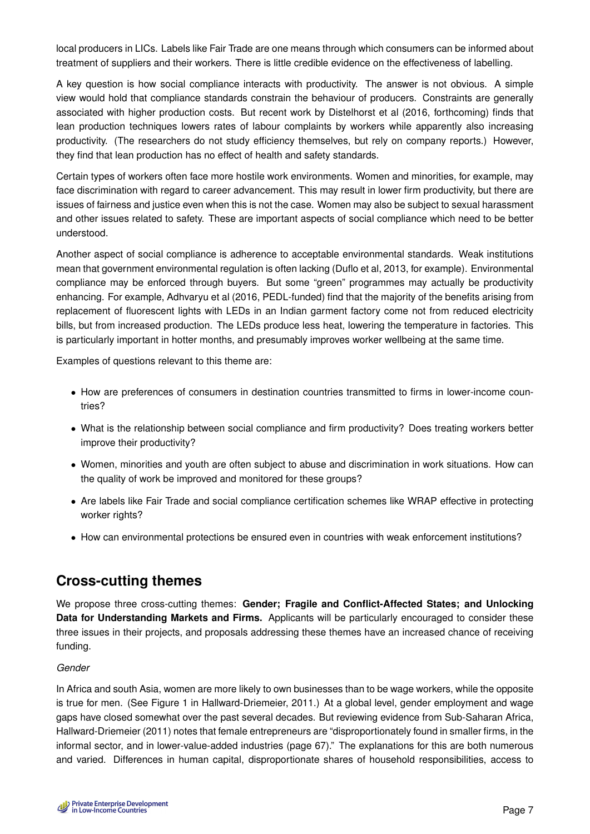local producers in LICs. Labels like Fair Trade are one means through which consumers can be informed about treatment of suppliers and their workers. There is little credible evidence on the effectiveness of labelling.

A key question is how social compliance interacts with productivity. The answer is not obvious. A simple view would hold that compliance standards constrain the behaviour of producers. Constraints are generally associated with higher production costs. But recent work by Distelhorst et al (2016, forthcoming) finds that lean production techniques lowers rates of labour complaints by workers while apparently also increasing productivity. (The researchers do not study efficiency themselves, but rely on company reports.) However, they find that lean production has no effect of health and safety standards.

Certain types of workers often face more hostile work environments. Women and minorities, for example, may face discrimination with regard to career advancement. This may result in lower firm productivity, but there are issues of fairness and justice even when this is not the case. Women may also be subject to sexual harassment and other issues related to safety. These are important aspects of social compliance which need to be better understood.

Another aspect of social compliance is adherence to acceptable environmental standards. Weak institutions mean that government environmental regulation is often lacking (Duflo et al, 2013, for example). Environmental compliance may be enforced through buyers. But some "green" programmes may actually be productivity enhancing. For example, Adhvaryu et al (2016, PEDL-funded) find that the majority of the benefits arising from replacement of fluorescent lights with LEDs in an Indian garment factory come not from reduced electricity bills, but from increased production. The LEDs produce less heat, lowering the temperature in factories. This is particularly important in hotter months, and presumably improves worker wellbeing at the same time.

Examples of questions relevant to this theme are:

- How are preferences of consumers in destination countries transmitted to firms in lower-income countries?
- What is the relationship between social compliance and firm productivity? Does treating workers better improve their productivity?
- Women, minorities and youth are often subject to abuse and discrimination in work situations. How can the quality of work be improved and monitored for these groups?
- Are labels like Fair Trade and social compliance certification schemes like WRAP effective in protecting worker rights?
- How can environmental protections be ensured even in countries with weak enforcement institutions?

## **Cross-cutting themes**

We propose three cross-cutting themes: **Gender; Fragile and Conflict-Affected States; and Unlocking Data for Understanding Markets and Firms.** Applicants will be particularly encouraged to consider these three issues in their projects, and proposals addressing these themes have an increased chance of receiving funding.

### *Gender*

In Africa and south Asia, women are more likely to own businesses than to be wage workers, while the opposite is true for men. (See Figure 1 in Hallward-Driemeier, 2011.) At a global level, gender employment and wage gaps have closed somewhat over the past several decades. But reviewing evidence from Sub-Saharan Africa, Hallward-Driemeier (2011) notes that female entrepreneurs are "disproportionately found in smaller firms, in the informal sector, and in lower-value-added industries (page 67)." The explanations for this are both numerous and varied. Differences in human capital, disproportionate shares of household responsibilities, access to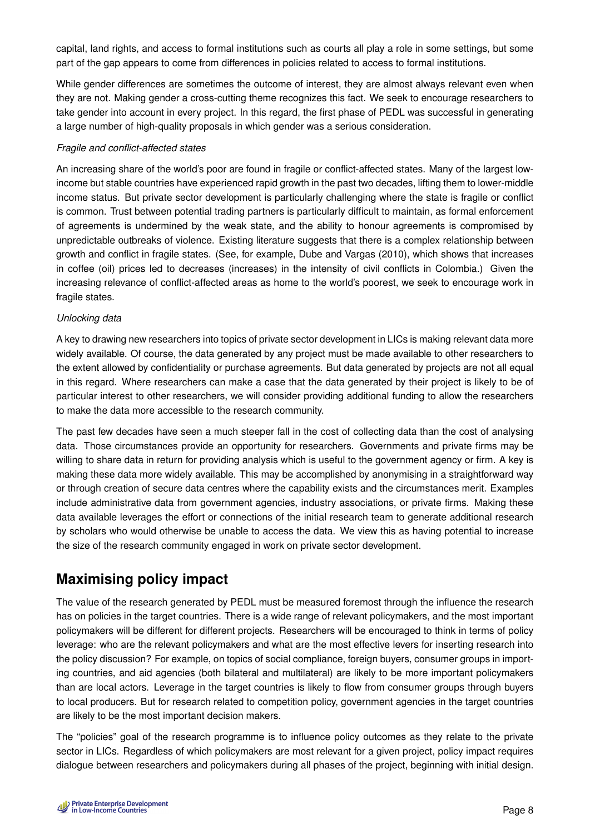capital, land rights, and access to formal institutions such as courts all play a role in some settings, but some part of the gap appears to come from differences in policies related to access to formal institutions.

While gender differences are sometimes the outcome of interest, they are almost always relevant even when they are not. Making gender a cross-cutting theme recognizes this fact. We seek to encourage researchers to take gender into account in every project. In this regard, the first phase of PEDL was successful in generating a large number of high-quality proposals in which gender was a serious consideration.

#### *Fragile and conflict-affected states*

An increasing share of the world's poor are found in fragile or conflict-affected states. Many of the largest lowincome but stable countries have experienced rapid growth in the past two decades, lifting them to lower-middle income status. But private sector development is particularly challenging where the state is fragile or conflict is common. Trust between potential trading partners is particularly difficult to maintain, as formal enforcement of agreements is undermined by the weak state, and the ability to honour agreements is compromised by unpredictable outbreaks of violence. Existing literature suggests that there is a complex relationship between growth and conflict in fragile states. (See, for example, Dube and Vargas (2010), which shows that increases in coffee (oil) prices led to decreases (increases) in the intensity of civil conflicts in Colombia.) Given the increasing relevance of conflict-affected areas as home to the world's poorest, we seek to encourage work in fragile states.

#### *Unlocking data*

A key to drawing new researchers into topics of private sector development in LICs is making relevant data more widely available. Of course, the data generated by any project must be made available to other researchers to the extent allowed by confidentiality or purchase agreements. But data generated by projects are not all equal in this regard. Where researchers can make a case that the data generated by their project is likely to be of particular interest to other researchers, we will consider providing additional funding to allow the researchers to make the data more accessible to the research community.

The past few decades have seen a much steeper fall in the cost of collecting data than the cost of analysing data. Those circumstances provide an opportunity for researchers. Governments and private firms may be willing to share data in return for providing analysis which is useful to the government agency or firm. A key is making these data more widely available. This may be accomplished by anonymising in a straightforward way or through creation of secure data centres where the capability exists and the circumstances merit. Examples include administrative data from government agencies, industry associations, or private firms. Making these data available leverages the effort or connections of the initial research team to generate additional research by scholars who would otherwise be unable to access the data. We view this as having potential to increase the size of the research community engaged in work on private sector development.

## **Maximising policy impact**

The value of the research generated by PEDL must be measured foremost through the influence the research has on policies in the target countries. There is a wide range of relevant policymakers, and the most important policymakers will be different for different projects. Researchers will be encouraged to think in terms of policy leverage: who are the relevant policymakers and what are the most effective levers for inserting research into the policy discussion? For example, on topics of social compliance, foreign buyers, consumer groups in importing countries, and aid agencies (both bilateral and multilateral) are likely to be more important policymakers than are local actors. Leverage in the target countries is likely to flow from consumer groups through buyers to local producers. But for research related to competition policy, government agencies in the target countries are likely to be the most important decision makers.

The "policies" goal of the research programme is to influence policy outcomes as they relate to the private sector in LICs. Regardless of which policymakers are most relevant for a given project, policy impact requires dialogue between researchers and policymakers during all phases of the project, beginning with initial design.